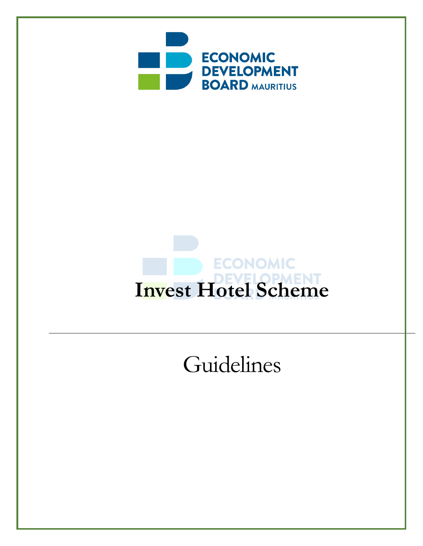



# Guidelines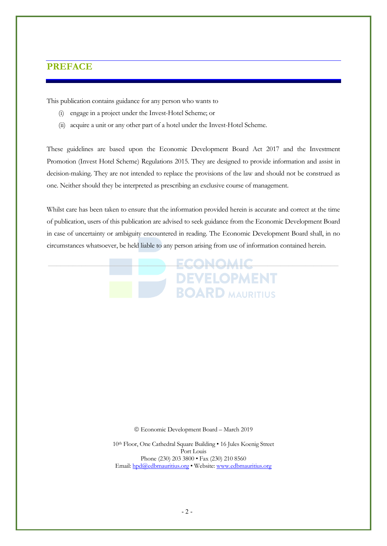#### **PREFACE**

This publication contains guidance for any person who wants to

- (i) engage in a project under the Invest-Hotel Scheme; or
- (ii) acquire a unit or any other part of a hotel under the Invest-Hotel Scheme.

These guidelines are based upon the Economic Development Board Act 2017 and the Investment Promotion (Invest Hotel Scheme) Regulations 2015. They are designed to provide information and assist in decision-making. They are not intended to replace the provisions of the law and should not be construed as one. Neither should they be interpreted as prescribing an exclusive course of management.

Whilst care has been taken to ensure that the information provided herein is accurate and correct at the time of publication, users of this publication are advised to seek guidance from the Economic Development Board in case of uncertainty or ambiguity encountered in reading. The Economic Development Board shall, in no circumstances whatsoever, be held liable to any person arising from use of information contained herein.



© Economic Development Board – March 2019

10th Floor, One Cathedral Square Building • 16 Jules Koenig Street Port Louis Phone (230) 203 3800 • Fax (230) 210 8560 Email: [hpd@edbmauritius.org](mailto:hpd@edbmauritius.org) • Website: [www.edbmauritius.org](http://www.edbmauritius.org/)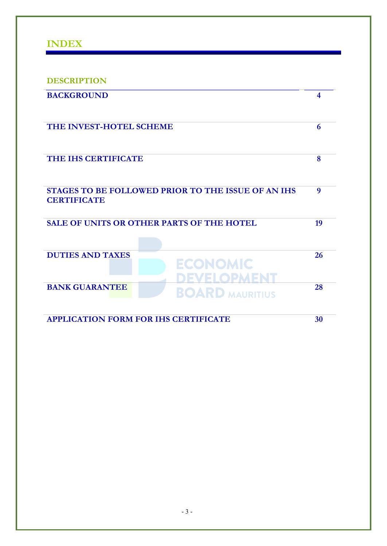# **INDEX**

| <b>DESCRIPTION</b>                                                              |                  |
|---------------------------------------------------------------------------------|------------------|
| <b>BACKGROUND</b>                                                               | $\boldsymbol{4}$ |
| THE INVEST-HOTEL SCHEME                                                         | 6                |
| THE IHS CERTIFICATE                                                             | 8                |
| <b>STAGES TO BE FOLLOWED PRIOR TO THE ISSUE OF AN IHS</b><br><b>CERTIFICATE</b> | $\boldsymbol{9}$ |
| <b>SALE OF UNITS OR OTHER PARTS OF THE HOTEL</b>                                | 19               |
| <b>DUTIES AND TAXES</b><br><b>ECONOMIC</b><br>DEVELOPMENT                       | 26               |
| <b>BANK GUARANTEE</b><br><b>BOARD MAURITIUS</b>                                 | 28               |
| <b>APPLICATION FORM FOR IHS CERTIFICATE</b>                                     | 30               |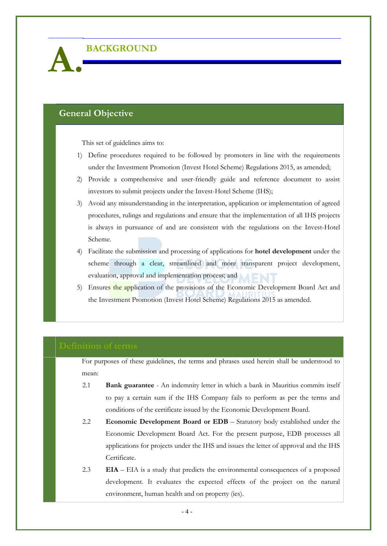#### **General Objective**

This set of guidelines aims to:

- 1) Define procedures required to be followed by promoters in line with the requirements under the Investment Promotion (Invest Hotel Scheme) Regulations 2015, as amended;
- 2) Provide a comprehensive and user-friendly guide and reference document to assist investors to submit projects under the Invest-Hotel Scheme (IHS);
- 3) Avoid any misunderstanding in the interpretation, application or implementation of agreed procedures, rulings and regulations and ensure that the implementation of all IHS projects is always in pursuance of and are consistent with the regulations on the Invest-Hotel Scheme.
- 4) Facilitate the submission and processing of applications for **hotel development** under the scheme through a clear, streamlined and more transparent project development, evaluation, approval and implementation process; and
- 5) Ensures the application of the provisions of the Economic Development Board Act and the Investment Promotion (Invest Hotel Scheme) Regulations 2015 as amended.

For purposes of these guidelines, the terms and phrases used herein shall be understood to mean:

- 2.1 **Bank guarantee** An indemnity letter in which a bank in Mauritius commits itself to pay a certain sum if the IHS Company fails to perform as per the terms and conditions of the certificate issued by the Economic Development Board.
- 2.2 **Economic Development Board or EDB** Statutory body established under the Economic Development Board Act. For the present purpose, EDB processes all applications for projects under the IHS and issues the letter of approval and the IHS Certificate.
- 2.3 **EIA** EIA is a study that predicts the environmental consequences of a proposed development. It evaluates the expected effects of the project on the natural environment, human health and on property (ies).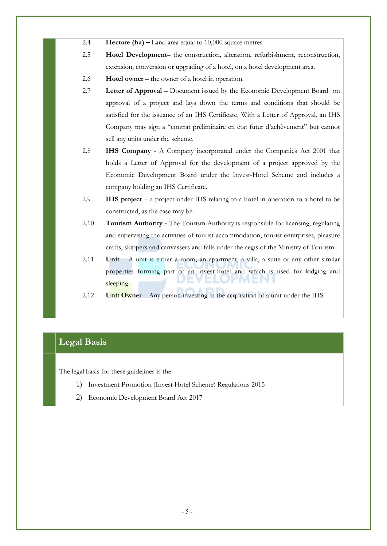- 2.4 **Hectare (ha) –** Land area equal to 10,000 square metres
- 2.5 **Hotel Development** the construction, alteration, refurbishment, reconstruction, extension, conversion or upgrading of a hotel, on a hotel development area.
- 2.6 **Hotel owner**  the owner of a hotel in operation.
- 2.7 **Letter of Approval** Document issued by the Economic Development Board on approval of a project and lays down the terms and conditions that should be satisfied for the issuance of an IHS Certificate. With a Letter of Approval, an IHS Company may sign a "contrat préliminaire en état futur d'achèvement" but cannot sell any units under the scheme.
- 2.8 **IHS Company** A Company incorporated under the Companies Act 2001 that holds a Letter of Approval for the development of a project approved by the Economic Development Board under the Invest-Hotel Scheme and includes a company holding an IHS Certificate.
- 2.9 **IHS project**  a project under IHS relating to a hotel in operation to a hotel to be constructed, as the case may be.
- 2.10 **Tourism Authority -** The Tourism Authority is responsible for licensing, regulating and supervising the activities of tourist accommodation, tourist enterprises, pleasure crafts, skippers and canvassers and falls under the aegis of the Ministry of Tourism.
- 2.11 **Unit** A unit is either a room, an apartment, a villa, a suite or any other similar properties forming part of an invest-hotel and which is used for lodging and sleeping.
- 2.12 **Unit Owner** Any person investing in the acquisition of a unit under the IHS.

## **Legal Basis**

The legal basis for these guidelines is the:

- 1) Investment Promotion (Invest Hotel Scheme) Regulations 2015
- 2) Economic Development Board Act 2017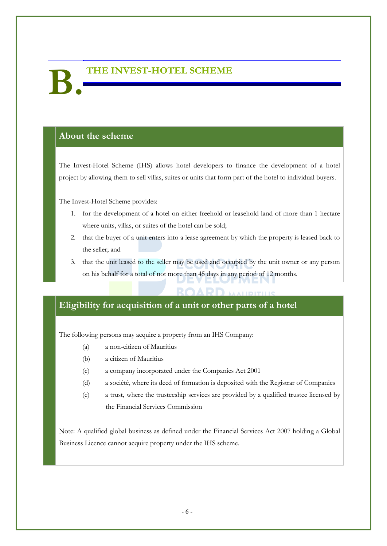# **THE INVEST-HOTEL SCHEME B.**

#### **About the scheme**

The Invest-Hotel Scheme (IHS) allows hotel developers to finance the development of a hotel project by allowing them to sell villas, suites or units that form part of the hotel to individual buyers.

The Invest-Hotel Scheme provides:

- 1. for the development of a hotel on either freehold or leasehold land of more than 1 hectare where units, villas, or suites of the hotel can be sold;
- 2. that the buyer of a unit enters into a lease agreement by which the property is leased back to the seller; and
- 3. that the unit leased to the seller may be used and occupied by the unit owner or any person on his behalf for a total of not more than 45 days in any period of 12 months.

# $RD$  matipitilis **Eligibility for acquisition of a unit or other parts of a hotel**

The following persons may acquire a property from an IHS Company:

- (a) a non-citizen of Mauritius
- (b) a citizen of Mauritius
- (c) a company incorporated under the Companies Act 2001
- (d) a société, where its deed of formation is deposited with the Registrar of Companies
- (e) a trust, where the trusteeship services are provided by a qualified trustee licensed by the Financial Services Commission

Note: A qualified global business as defined under the Financial Services Act 2007 holding a Global Business Licence cannot acquire property under the IHS scheme.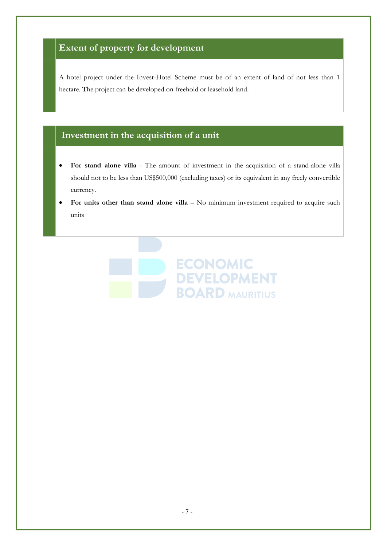# **Extent of property for development**

A hotel project under the Invest-Hotel Scheme must be of an extent of land of not less than 1 hectare. The project can be developed on freehold or leasehold land.

#### **Investment in the acquisition of a unit**

- **For stand alone villa** The amount of investment in the acquisition of a stand-alone villa should not to be less than US\$500,000 (excluding taxes) or its equivalent in any freely convertible currency.
- **For units other than stand alone villa**  No minimum investment required to acquire such units

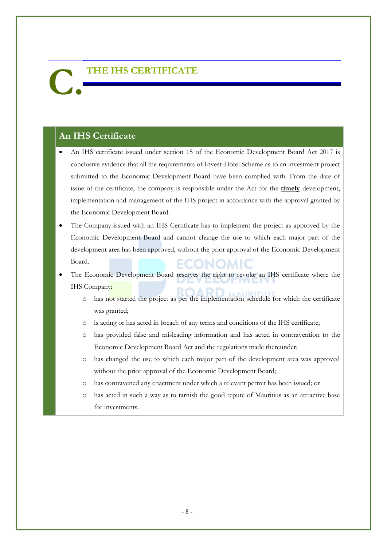# **THE IHS CERTIFICATE C.**

#### **An IHS Certificate**

- An IHS certificate issued under section 15 of the Economic Development Board Act 2017 is conclusive evidence that all the requirements of Invest-Hotel Scheme as to an investment project submitted to the Economic Development Board have been complied with. From the date of issue of the certificate, the company is responsible under the Act for the **timely** development, implementation and management of the IHS project in accordance with the approval granted by the Economic Development Board.
- The Company issued with an IHS Certificate has to implement the project as approved by the Economic Development Board and cannot change the use to which each major part of the development area has been approved, without the prior approval of the Economic Development Board.
- The Economic Development Board reserves the right to revoke an IHS certificate where the IHS Company:
	- o has not started the project as per the implementation schedule for which the certificate was granted;
	- o is acting or has acted in breach of any terms and conditions of the IHS certificate;
	- o has provided false and misleading information and has acted in contravention to the Economic Development Board Act and the regulations made thereunder;
	- o has changed the use to which each major part of the development area was approved without the prior approval of the Economic Development Board;
	- o has contravened any enactment under which a relevant permit has been issued; or
	- o has acted in such a way as to tarnish the good repute of Mauritius as an attractive base for investments.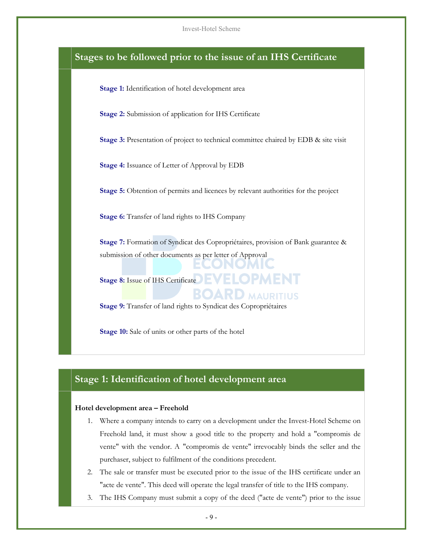#### **Stages to be followed prior to the issue of an IHS Certificate**

**Stage 1:** Identification of hotel development area

**Stage 2:** Submission of application for IHS Certificate

**Stage 3:** Presentation of project to technical committee chaired by EDB & site visit

**Stage 4:** Issuance of Letter of Approval by EDB

**Stage 5:** Obtention of permits and licences by relevant authorities for the project

**Stage 6:** Transfer of land rights to IHS Company

**Stage 7:** Formation of Syndicat des Copropriétaires, provision of Bank guarantee & submission of other documents as per letter of Approval

**MAURITIUS** 

**Stage 8: Issue of IHS Certificate <b>EVELOPM** 

**Stage 9:** Transfer of land rights to Syndicat des Copropriétaires

**Stage 10:** Sale of units or other parts of the hotel

#### **Stage 1: Identification of hotel development area**

#### **Hotel development area – Freehold**

- 1. Where a company intends to carry on a development under the Invest-Hotel Scheme on Freehold land, it must show a good title to the property and hold a "compromis de vente" with the vendor. A "compromis de vente" irrevocably binds the seller and the purchaser, subject to fulfilment of the conditions precedent.
- 2. The sale or transfer must be executed prior to the issue of the IHS certificate under an "acte de vente". This deed will operate the legal transfer of title to the IHS company.
- 3. The IHS Company must submit a copy of the deed ("acte de vente") prior to the issue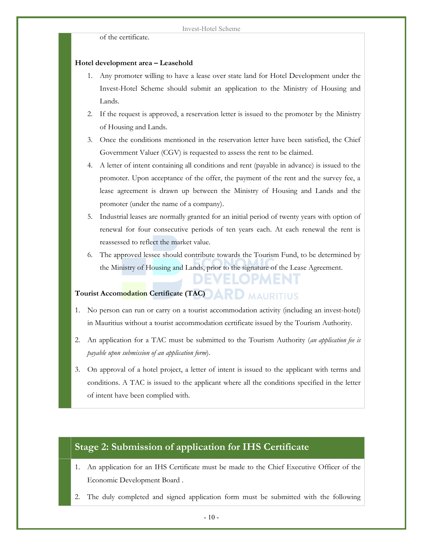of the certificate.

#### **Hotel development area – Leasehold**

- 1. Any promoter willing to have a lease over state land for Hotel Development under the Invest-Hotel Scheme should submit an application to the Ministry of Housing and Lands.
- 2. If the request is approved, a reservation letter is issued to the promoter by the Ministry of Housing and Lands.
- 3. Once the conditions mentioned in the reservation letter have been satisfied, the Chief Government Valuer (CGV) is requested to assess the rent to be claimed.
- 4. A letter of intent containing all conditions and rent (payable in advance) is issued to the promoter. Upon acceptance of the offer, the payment of the rent and the survey fee, a lease agreement is drawn up between the Ministry of Housing and Lands and the promoter (under the name of a company).
- 5. Industrial leases are normally granted for an initial period of twenty years with option of renewal for four consecutive periods of ten years each. At each renewal the rent is reassessed to reflect the market value.
- 6. The approved lessee should contribute towards the Tourism Fund, to be determined by the Ministry of Housing and Lands, prior to the signature of the Lease Agreement.

# **Tourist Accomodation Certificate (TAC)**

- 1. No person can run or carry on a tourist accommodation activity (including an invest-hotel) in Mauritius without a tourist accommodation certificate issued by the Tourism Authority.
- 2. An application for a TAC must be submitted to the Tourism Authority (*an application fee is payable upon submission of an application form*).
- 3. On approval of a hotel project, a letter of intent is issued to the applicant with terms and conditions. A TAC is issued to the applicant where all the conditions specified in the letter of intent have been complied with.

# **Stage 2: Submission of application for IHS Certificate**

- 1. An application for an IHS Certificate must be made to the Chief Executive Officer of the Economic Development Board .
- 2. The duly completed and signed application form must be submitted with the following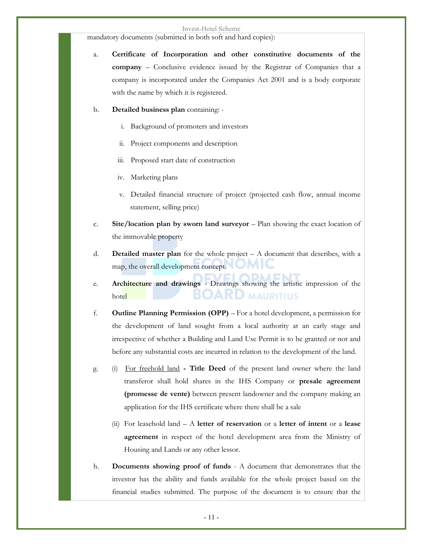mandatory documents (submitted in both soft and hard copies):

- a. **Certificate of Incorporation and other constitutive documents of the company** – Conclusive evidence issued by the Registrar of Companies that a company is incorporated under the Companies Act 2001 and is a body corporate with the name by which it is registered.
- b. **Detailed business plan** containing:
	- i. Background of promoters and investors
	- ii. Project components and description
	- iii. Proposed start date of construction
	- iv. Marketing plans
	- v. Detailed financial structure of project (projected cash flow, annual income statement, selling price)
- c. **Site/location plan by sworn land surveyor**  Plan showing the exact location of the immovable property
- d. **Detailed master plan** for the whole project A document that describes, with a map, the overall development concept.
- e. **Architecture and drawings**  Drawings showing the artistic impression of the **MAURITIUS** hotel
- f. **Outline Planning Permission (OPP)**  For a hotel development, a permission for the development of land sought from a local authority at an early stage and irrespective of whether a Building and Land Use Permit is to be granted or not and before any substantial costs are incurred in relation to the development of the land.
- g. (i)For freehold land **- Title Deed** of the present land owner where the land transferor shall hold shares in the IHS Company or **presale agreement (promesse de vente)** between present landowner and the company making an application for the IHS certificate where there shall be a sale
	- (ii) For leasehold land A **letter of reservation** or a **letter of intent** or a **lease agreement** in respect of the hotel development area from the Ministry of Housing and Lands or any other lessor.
- h. **Documents showing proof of funds** A document that demonstrates that the investor has the ability and funds available for the whole project based on the financial studies submitted. The purpose of the document is to ensure that the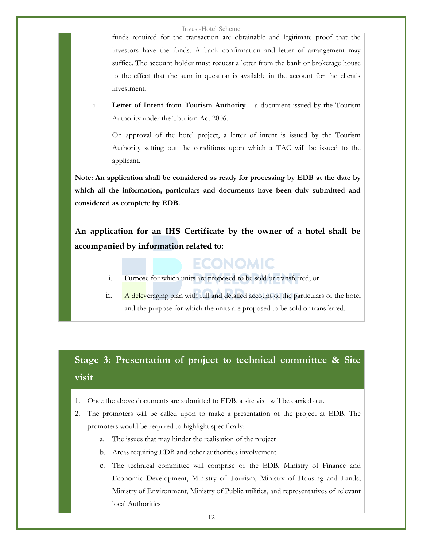funds required for the transaction are obtainable and legitimate proof that the investors have the funds. A bank confirmation and letter of arrangement may suffice. The account holder must request a letter from the bank or brokerage house to the effect that the sum in question is available in the account for the client's investment.

i. **Letter of Intent from Tourism Authority** – a document issued by the Tourism Authority under the Tourism Act 2006.

On approval of the hotel project, a letter of intent is issued by the Tourism Authority setting out the conditions upon which a TAC will be issued to the applicant.

**Note: An application shall be considered as ready for processing by EDB at the date by which all the information, particulars and documents have been duly submitted and considered as complete by EDB.** 

**An application for an IHS Certificate by the owner of a hotel shall be accompanied by information related to:**

- i. Purpose for which units are proposed to be sold or transferred; or
- ii. A deleveraging plan with full and detailed account of the particulars of the hotel and the purpose for which the units are proposed to be sold or transferred.

**ECONOMIC** 

# **Stage 3: Presentation of project to technical committee & Site visit**

- 1. Once the above documents are submitted to EDB, a site visit will be carried out.
- 2. The promoters will be called upon to make a presentation of the project at EDB. The promoters would be required to highlight specifically:
	- a. The issues that may hinder the realisation of the project
	- b. Areas requiring EDB and other authorities involvement
	- c. The technical committee will comprise of the EDB, Ministry of Finance and Economic Development, Ministry of Tourism, Ministry of Housing and Lands, Ministry of Environment, Ministry of Public utilities, and representatives of relevant local Authorities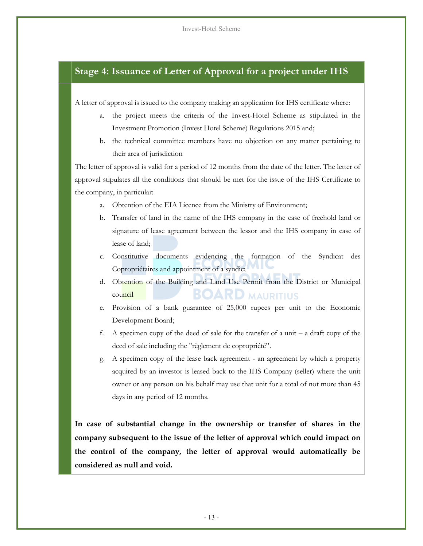#### **Stage 4: Issuance of Letter of Approval for a project under IHS**

A letter of approval is issued to the company making an application for IHS certificate where:

- a. the project meets the criteria of the Invest-Hotel Scheme as stipulated in the Investment Promotion (Invest Hotel Scheme) Regulations 2015 and;
- b. the technical committee members have no objection on any matter pertaining to their area of jurisdiction

The letter of approval is valid for a period of 12 months from the date of the letter. The letter of approval stipulates all the conditions that should be met for the issue of the IHS Certificate to the company, in particular:

- a. Obtention of the EIA Licence from the Ministry of Environment;
- b. Transfer of land in the name of the IHS company in the case of freehold land or signature of lease agreement between the lessor and the IHS company in case of lease of land;
- c. Constitutive documents evidencing the formation of the Syndicat des Copropriétaires and appointment of a syndic;
- d. Obtention of the Building and Land Use Permit from the District or Municipal **RD MAURITIUS** council
- e. Provision of a bank guarantee of 25,000 rupees per unit to the Economic Development Board;
- f. A specimen copy of the deed of sale for the transfer of a unit a draft copy of the deed of sale including the "règlement de copropriété".
- g. A specimen copy of the lease back agreement an agreement by which a property acquired by an investor is leased back to the IHS Company (seller) where the unit owner or any person on his behalf may use that unit for a total of not more than 45 days in any period of 12 months.

**In case of substantial change in the ownership or transfer of shares in the company subsequent to the issue of the letter of approval which could impact on the control of the company, the letter of approval would automatically be considered as null and void.**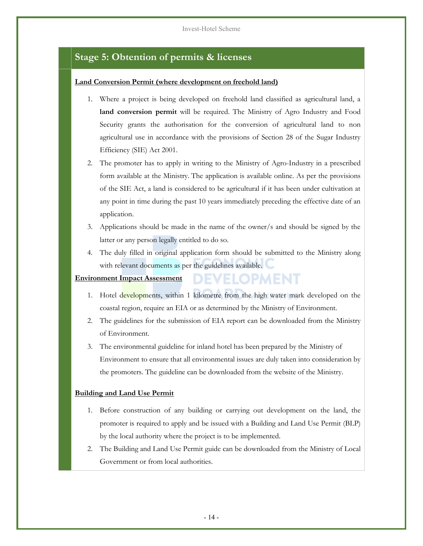# **Stage 5: Obtention of permits & licenses**

#### **Land Conversion Permit (where development on freehold land)**

- 1. Where a project is being developed on freehold land classified as agricultural land, a **land conversion permit** will be required. The Ministry of Agro Industry and Food Security grants the authorisation for the conversion of agricultural land to non agricultural use in accordance with the provisions of Section 28 of the Sugar Industry Efficiency (SIE) Act 2001.
- 2. The promoter has to apply in writing to the Ministry of Agro-Industry in a prescribed form available at the Ministry. The application is available online. As per the provisions of the SIE Act, a land is considered to be agricultural if it has been under cultivation at any point in time during the past 10 years immediately preceding the effective date of an application.
- 3. Applications should be made in the name of the owner/s and should be signed by the latter or any person legally entitled to do so.
- 4. The duly filled in original application form should be submitted to the Ministry along with relevant documents as per the guidelines available.

OPMENT

#### **Environment Impact Assessment**

- 1. Hotel developments, within 1 kilometre from the high water mark developed on the coastal region, require an EIA or as determined by the Ministry of Environment.
- 2. The guidelines for the submission of EIA report can be downloaded from the Ministry of Environment.
- 3. The environmental guideline for inland hotel has been prepared by the Ministry of Environment to ensure that all environmental issues are duly taken into consideration by the promoters. The guideline can be downloaded from the website of the Ministry.

#### **Building and Land Use Permit**

- 1. Before construction of any building or carrying out development on the land, the promoter is required to apply and be issued with a Building and Land Use Permit (BLP) by the local authority where the project is to be implemented.
- 2. The Building and Land Use Permit guide can be downloaded from the Ministry of Local Government or from local authorities.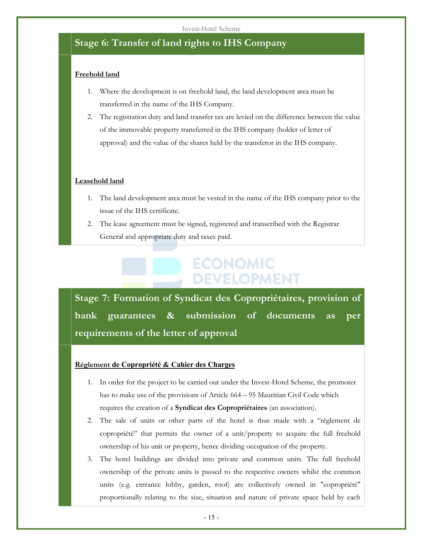# **Stage 6: Transfer of land rights to IHS Company**

#### **Freehold land**

- 1. Where the development is on freehold land, the land development area must be transferred in the name of the IHS Company.
- 2. The registration duty and land transfer tax are levied on the difference between the value of the immovable property transferred in the IHS company (holder of letter of approval) and the value of the shares held by the transferor in the IHS company.

#### **Leasehold land**

- 1. The land development area must be vested in the name of the IHS company prior to the issue of the IHS certificate.
- 2. The lease agreement must be signed, registered and transcribed with the Registrar General and appropriate duty and taxes paid.

# **ECONOMIC DEVELOPMENT**

**Stage 7: Formation of Syndicat des Copropriétaires, provision of bank guarantees & submission of documents as per requirements of the letter of approval**

#### **Règlement de Copropriété & Cahier des Charges**

- 1. In order for the project to be carried out under the Invest-Hotel Scheme, the promoter has to make use of the provisions of Article 664 – 95 Mauritian Civil Code which requires the creation of a **Syndicat des Copropriétaires** (an association).
- 2. The sale of units or other parts of the hotel is thus made with a "règlement de copropriété" that permits the owner of a unit/property to acquire the full freehold ownership of his unit or property, hence dividing occupation of the property.
- 3. The hotel buildings are divided into private and common units. The full freehold ownership of the private units is passed to the respective owners whilst the common units (e.g. entrance lobby, garden, roof) are collectively owned in "copropriété" proportionally relating to the size, situation and nature of private space held by each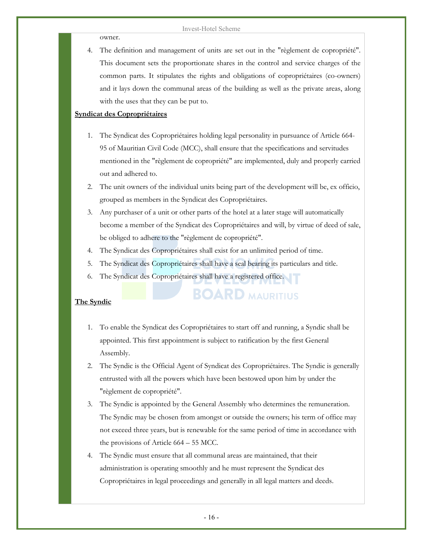owner.

4. The definition and management of units are set out in the "règlement de copropriété". This document sets the proportionate shares in the control and service charges of the common parts. It stipulates the rights and obligations of copropriétaires (co-owners) and it lays down the communal areas of the building as well as the private areas, along with the uses that they can be put to.

#### **Syndicat des Copropriétaires**

- 1. The Syndicat des Copropriétaires holding legal personality in pursuance of Article 664- 95 of Mauritian Civil Code (MCC), shall ensure that the specifications and servitudes mentioned in the "règlement de copropriété" are implemented, duly and properly carried out and adhered to.
- 2. The unit owners of the individual units being part of the development will be, ex officio, grouped as members in the Syndicat des Copropriétaires.
- 3. Any purchaser of a unit or other parts of the hotel at a later stage will automatically become a member of the Syndicat des Copropriétaires and will, by virtue of deed of sale, be obliged to adhere to the "règlement de copropriété".
- 4. The Syndicat des Copropriétaires shall exist for an unlimited period of time.
- 5. The Syndicat des Copropriétaires shall have a seal bearing its particulars and title.
- 6. The Syndicat des Copropriétaires shall have a registered office.

#### **The Syndic**

# 1. To enable the Syndicat des Copropriétaires to start off and running, a Syndic shall be appointed. This first appointment is subject to ratification by the first General Assembly.

**BOARD MAURITIUS** 

- 2. The Syndic is the Official Agent of Syndicat des Copropriétaires. The Syndic is generally entrusted with all the powers which have been bestowed upon him by under the "règlement de copropriété".
- 3. The Syndic is appointed by the General Assembly who determines the remuneration. The Syndic may be chosen from amongst or outside the owners; his term of office may not exceed three years, but is renewable for the same period of time in accordance with the provisions of Article 664 – 55 MCC.
- 4. The Syndic must ensure that all communal areas are maintained, that their administration is operating smoothly and he must represent the Syndicat des Copropriétaires in legal proceedings and generally in all legal matters and deeds.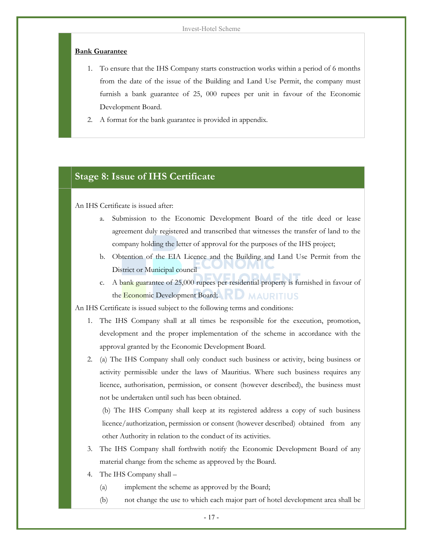#### **Bank Guarantee**

- 1. To ensure that the IHS Company starts construction works within a period of 6 months from the date of the issue of the Building and Land Use Permit, the company must furnish a bank guarantee of 25, 000 rupees per unit in favour of the Economic Development Board.
- 2. A format for the bank guarantee is provided in appendix.

#### **Stage 8: Issue of IHS Certificate**

An IHS Certificate is issued after:

- a. Submission to the Economic Development Board of the title deed or lease agreement duly registered and transcribed that witnesses the transfer of land to the company holding the letter of approval for the purposes of the IHS project;
- b. Obtention of the EIA Licence and the Building and Land Use Permit from the District or Municipal council
- c. A bank guarantee of 25,000 rupees per residential property is furnished in favour of the Economic Development Board; MAURITIUS

An IHS Certificate is issued subject to the following terms and conditions:

- 1. The IHS Company shall at all times be responsible for the execution, promotion, development and the proper implementation of the scheme in accordance with the approval granted by the Economic Development Board.
- 2. (a) The IHS Company shall only conduct such business or activity, being business or activity permissible under the laws of Mauritius. Where such business requires any licence, authorisation, permission, or consent (however described), the business must not be undertaken until such has been obtained.

(b) The IHS Company shall keep at its registered address a copy of such business licence/authorization, permission or consent (however described) obtained from any other Authority in relation to the conduct of its activities.

- 3. The IHS Company shall forthwith notify the Economic Development Board of any material change from the scheme as approved by the Board.
- 4. The IHS Company shall
	- (a) implement the scheme as approved by the Board;
	- (b) not change the use to which each major part of hotel development area shall be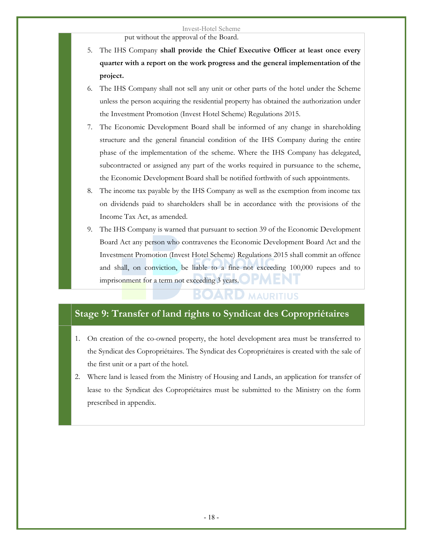#### put without the approval of the Board.

- 5. The IHS Company **shall provide the Chief Executive Officer at least once every quarter with a report on the work progress and the general implementation of the project.**
- 6. The IHS Company shall not sell any unit or other parts of the hotel under the Scheme unless the person acquiring the residential property has obtained the authorization under the Investment Promotion (Invest Hotel Scheme) Regulations 2015.
- 7. The Economic Development Board shall be informed of any change in shareholding structure and the general financial condition of the IHS Company during the entire phase of the implementation of the scheme. Where the IHS Company has delegated, subcontracted or assigned any part of the works required in pursuance to the scheme, the Economic Development Board shall be notified forthwith of such appointments.
- 8. The income tax payable by the IHS Company as well as the exemption from income tax on dividends paid to shareholders shall be in accordance with the provisions of the Income Tax Act, as amended.
- 9. The IHS Company is warned that pursuant to section 39 of the Economic Development Board Act any person who contravenes the Economic Development Board Act and the Investment Promotion (Invest Hotel Scheme) Regulations 2015 shall commit an offence and shall, on conviction, be liable to a fine not exceeding 100,000 rupees and to imprisonment for a term not exceeding 3 years.

#### **MAURITIUS**

## **Stage 9: Transfer of land rights to Syndicat des Copropriétaires**

- 1. On creation of the co-owned property, the hotel development area must be transferred to the Syndicat des Copropriétaires. The Syndicat des Copropriétaires is created with the sale of the first unit or a part of the hotel.
- 2. Where land is leased from the Ministry of Housing and Lands, an application for transfer of lease to the Syndicat des Copropriétaires must be submitted to the Ministry on the form prescribed in appendix.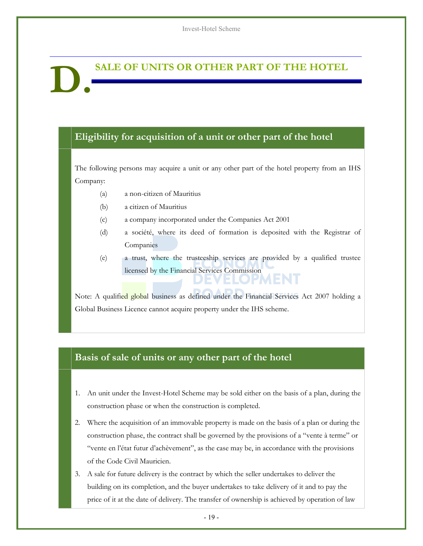# **SALE OF UNITS OR OTHER PART OF THE HOTEL D.**

#### **Eligibility for acquisition of a unit or other part of the hotel**

The following persons may acquire a unit or any other part of the hotel property from an IHS Company:

- (a) a non-citizen of Mauritius
- (b) a citizen of Mauritius
- (c) a company incorporated under the Companies Act 2001
- (d) a société, where its deed of formation is deposited with the Registrar of Companies
- (e) a trust, where the trusteeship services are provided by a qualified trustee licensed by the Financial Services Commission

Note: A qualified global business as defined under the Financial Services Act 2007 holding a Global Business Licence cannot acquire property under the IHS scheme.

#### **Basis of sale of units or any other part of the hotel**

- 1. An unit under the Invest-Hotel Scheme may be sold either on the basis of a plan, during the construction phase or when the construction is completed.
- 2. Where the acquisition of an immovable property is made on the basis of a plan or during the construction phase, the contract shall be governed by the provisions of a "vente à terme" or "vente en l'état futur d'achèvement", as the case may be, in accordance with the provisions of the Code Civil Mauricien.
- 3. A sale for future delivery is the contract by which the seller undertakes to deliver the building on its completion, and the buyer undertakes to take delivery of it and to pay the price of it at the date of delivery. The transfer of ownership is achieved by operation of law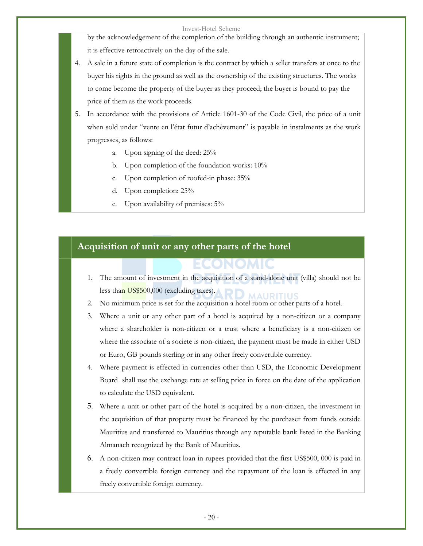by the acknowledgement of the completion of the building through an authentic instrument; it is effective retroactively on the day of the sale.

- 4. A sale in a future state of completion is the contract by which a seller transfers at once to the buyer his rights in the ground as well as the ownership of the existing structures. The works to come become the property of the buyer as they proceed; the buyer is bound to pay the price of them as the work proceeds.
- 5. In accordance with the provisions of Article 1601-30 of the Code Civil, the price of a unit when sold under "vente en l'état futur d'achèvement" is payable in instalments as the work progresses, as follows:
	- a. Upon signing of the deed: 25%
	- b. Upon completion of the foundation works: 10%
	- c. Upon completion of roofed-in phase: 35%
	- d. Upon completion: 25%
	- e. Upon availability of premises: 5%

#### **Acquisition of unit or any other parts of the hotel**

- 1. The amount of investment in the acquisition of a stand-alone unit (villa) should not be less than US\$500,000 (excluding taxes).
- 2. No minimum price is set for the acquisition a hotel room or other parts of a hotel.
- 3. Where a unit or any other part of a hotel is acquired by a non-citizen or a company where a shareholder is non-citizen or a trust where a beneficiary is a non-citizen or where the associate of a societe is non-citizen, the payment must be made in either USD or Euro, GB pounds sterling or in any other freely convertible currency.
- 4. Where payment is effected in currencies other than USD, the Economic Development Board shall use the exchange rate at selling price in force on the date of the application to calculate the USD equivalent.
- 5. Where a unit or other part of the hotel is acquired by a non-citizen, the investment in the acquisition of that property must be financed by the purchaser from funds outside Mauritius and transferred to Mauritius through any reputable bank listed in the Banking Almanach recognized by the Bank of Mauritius.
- 6. A non-citizen may contract loan in rupees provided that the first US\$500, 000 is paid in a freely convertible foreign currency and the repayment of the loan is effected in any freely convertible foreign currency.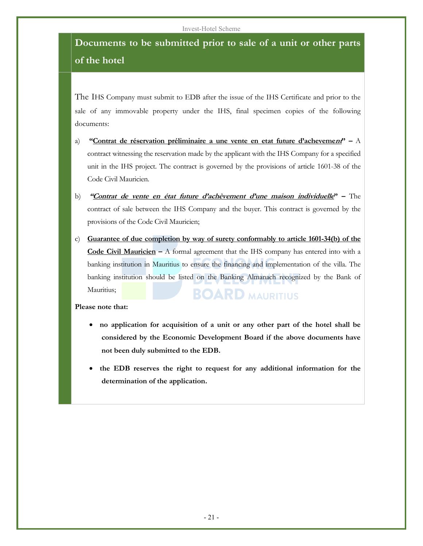# **Documents to be submitted prior to sale of a unit or other parts of the hotel**

The IHS Company must submit to EDB after the issue of the IHS Certificate and prior to the sale of any immovable property under the IHS, final specimen copies of the following documents:

- a) **"Contrat de réservation préliminaire a une vente en etat future d'achevement" –** A contract witnessing the reservation made by the applicant with the IHS Company for a specified unit in the IHS project. The contract is governed by the provisions of article 1601-38 of the Code Civil Mauricien.
- b) **"Contrat de vente en état future d'achèvement d'une maison individuelle" –** The contract of sale between the IHS Company and the buyer. This contract is governed by the provisions of the Code Civil Mauricien;
- c) **Guarantee of due completion by way of surety conformably to article 1601-34(b) of the Code Civil Mauricien**  $- A$  formal agreement that the IHS company has entered into with a banking institution in Mauritius to ensure the financing and implementation of the villa. The banking institution should be listed on the Banking Almanach recognized by the Bank of Mauritius; **BOARD MAURITIUS**

#### **Please note that:**

- **no application for acquisition of a unit or any other part of the hotel shall be considered by the Economic Development Board if the above documents have not been duly submitted to the EDB.**
- **the EDB reserves the right to request for any additional information for the determination of the application.**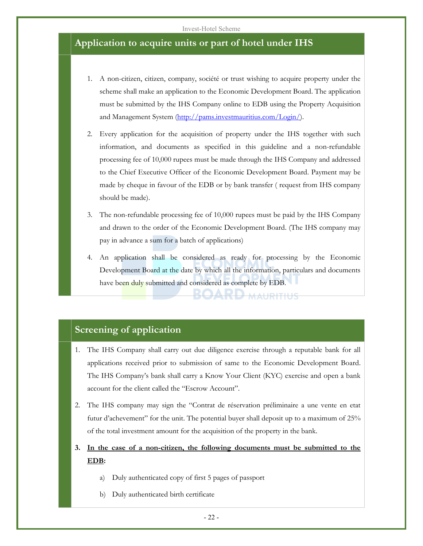# **Application to acquire units or part of hotel under IHS**

- 1. A non-citizen, citizen, company, société or trust wishing to acquire property under the scheme shall make an application to the Economic Development Board. The application must be submitted by the IHS Company online to EDB using the Property Acquisition and Management System [\(http://pams.investmauritius.com/Login/\)](http://pams.investmauritius.com/Login/).
- 2. Every application for the acquisition of property under the IHS together with such information, and documents as specified in this guideline and a non-refundable processing fee of 10,000 rupees must be made through the IHS Company and addressed to the Chief Executive Officer of the Economic Development Board. Payment may be made by cheque in favour of the EDB or by bank transfer ( request from IHS company should be made).
- 3. The non-refundable processing fee of 10,000 rupees must be paid by the IHS Company and drawn to the order of the Economic Development Board. (The IHS company may pay in advance a sum for a batch of applications)
- 4. An application shall be considered as ready for processing by the Economic Development Board at the date by which all the information, particulars and documents have been duly submitted and considered as complete by EDB.

## **Screening of application**

- 1. The IHS Company shall carry out due diligence exercise through a reputable bank for all applications received prior to submission of same to the Economic Development Board. The IHS Company's bank shall carry a Know Your Client (KYC) exercise and open a bank account for the client called the "Escrow Account".
- 2. The IHS company may sign the "Contrat de réservation préliminaire a une vente en etat futur d'achevement" for the unit. The potential buyer shall deposit up to a maximum of 25% of the total investment amount for the acquisition of the property in the bank.
- **3. In the case of a non-citizen, the following documents must be submitted to the EDB:**
	- a) Duly authenticated copy of first 5 pages of passport
	- b) Duly authenticated birth certificate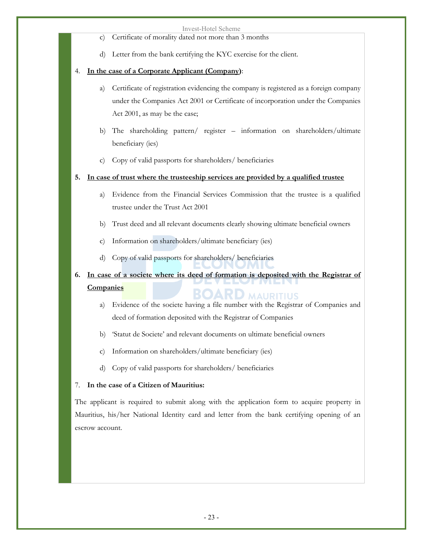|  | Invest-Hotel Scheme |
|--|---------------------|
|  |                     |

- c) Certificate of morality dated not more than 3 months
- d) Letter from the bank certifying the KYC exercise for the client.

#### 4. **In the case of a Corporate Applicant (Company)**:

- a) Certificate of registration evidencing the company is registered as a foreign company under the Companies Act 2001 or Certificate of incorporation under the Companies Act 2001, as may be the case;
- b) The shareholding pattern/ register information on shareholders/ultimate beneficiary (ies)
- c) Copy of valid passports for shareholders/ beneficiaries

#### **5. In case of trust where the trusteeship services are provided by a qualified trustee**

- a) Evidence from the Financial Services Commission that the trustee is a qualified trustee under the Trust Act 2001
- b) Trust deed and all relevant documents clearly showing ultimate beneficial owners
- c) Information on shareholders/ultimate beneficiary (ies)
- d) Copy of valid passports for shareholders/ beneficiaries

#### **6. In case of a societe where its deed of formation is deposited with the Registrar of Companies MAURITIUS**

- a) Evidence of the societe having a file number with the Registrar of Companies and deed of formation deposited with the Registrar of Companies
- b) 'Statut de Societe' and relevant documents on ultimate beneficial owners
- c) Information on shareholders/ultimate beneficiary (ies)
- d) Copy of valid passports for shareholders/ beneficiaries

#### 7. **In the case of a Citizen of Mauritius:**

The applicant is required to submit along with the application form to acquire property in Mauritius, his/her National Identity card and letter from the bank certifying opening of an escrow account.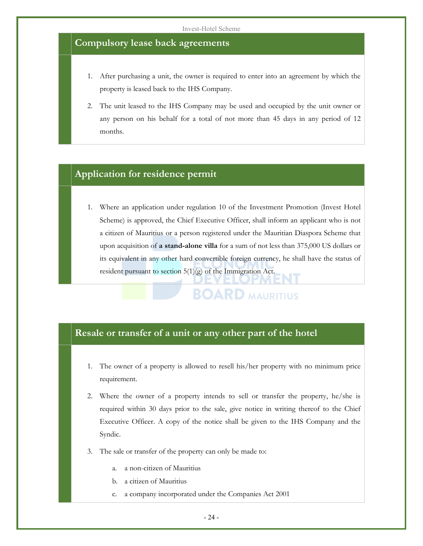#### **Compulsory lease back agreements**

- 1. After purchasing a unit, the owner is required to enter into an agreement by which the property is leased back to the IHS Company.
- 2. The unit leased to the IHS Company may be used and occupied by the unit owner or any person on his behalf for a total of not more than 45 days in any period of 12 months.

#### **Application for residence permit**

1. Where an application under regulation 10 of the Investment Promotion (Invest Hotel Scheme) is approved, the Chief Executive Officer, shall inform an applicant who is not a citizen of Mauritius or a person registered under the Mauritian Diaspora Scheme that upon acquisition of **a stand-alone villa** for a sum of not less than 375,000 US dollars or its equivalent in any other hard convertible foreign currency, he shall have the status of resident pursuant to section 5(1)(g) of the Immigration Act.

# **BOARD MAURITIUS**

#### **Resale or transfer of a unit or any other part of the hotel**

- 1. The owner of a property is allowed to resell his/her property with no minimum price requirement.
- 2. Where the owner of a property intends to sell or transfer the property, he/she is required within 30 days prior to the sale, give notice in writing thereof to the Chief Executive Officer. A copy of the notice shall be given to the IHS Company and the Syndic.
- 3. The sale or transfer of the property can only be made to:
	- a. a non-citizen of Mauritius
	- b. a citizen of Mauritius
	- c. a company incorporated under the Companies Act 2001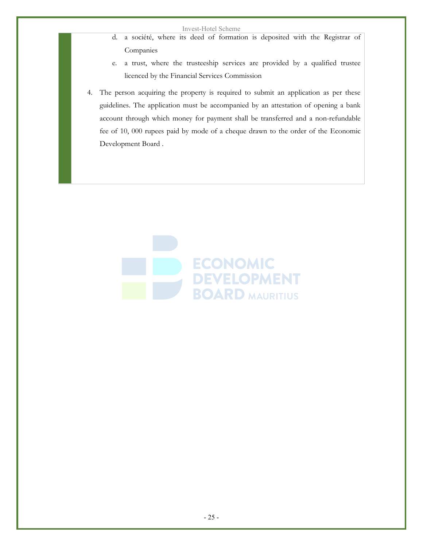- d. a société, where its deed of formation is deposited with the Registrar of Companies
- e. a trust, where the trusteeship services are provided by a qualified trustee licenced by the Financial Services Commission
- 4. The person acquiring the property is required to submit an application as per these guidelines. The application must be accompanied by an attestation of opening a bank account through which money for payment shall be transferred and a non-refundable fee of 10, 000 rupees paid by mode of a cheque drawn to the order of the Economic Development Board .

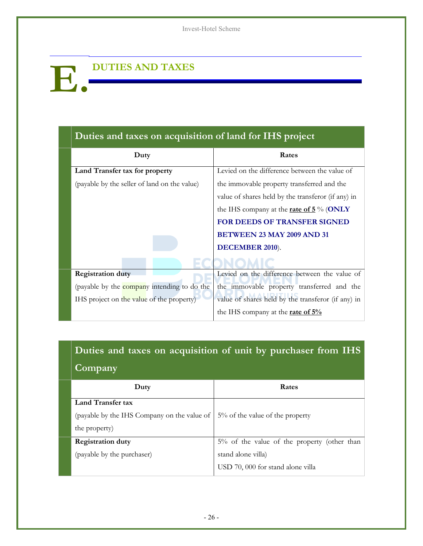# **DUTIES AND TAXES E.**

| Duties and taxes on acquisition of land for IHS project |                                                            |  |  |  |  |
|---------------------------------------------------------|------------------------------------------------------------|--|--|--|--|
| Duty                                                    | Rates                                                      |  |  |  |  |
| Land Transfer tax for property                          | Levied on the difference between the value of              |  |  |  |  |
| (payable by the seller of land on the value)            | the immovable property transferred and the                 |  |  |  |  |
|                                                         | value of shares held by the transferor (if any) in         |  |  |  |  |
|                                                         | the IHS company at the <b>rate of 5</b> $\%$ ( <b>ONLY</b> |  |  |  |  |
|                                                         | <b>FOR DEEDS OF TRANSFER SIGNED</b>                        |  |  |  |  |
|                                                         | <b>BETWEEN 23 MAY 2009 AND 31</b>                          |  |  |  |  |
|                                                         | DECEMBER 2010).                                            |  |  |  |  |
|                                                         |                                                            |  |  |  |  |
| <b>Registration duty</b>                                | Levied on the difference between the value of              |  |  |  |  |
| (payable by the <b>company</b> intending to do the      | the immovable property transferred and the                 |  |  |  |  |
| IHS project on the value of the property)               | value of shares held by the transferor (if any) in         |  |  |  |  |
|                                                         | the IHS company at the <b>rate of 5%</b>                   |  |  |  |  |

# **Duties and taxes on acquisition of unit by purchaser from IHS Company**

| Duty                                        | Rates                                       |
|---------------------------------------------|---------------------------------------------|
| Land Transfer tax                           |                                             |
| (payable by the IHS Company on the value of | 5% of the value of the property             |
| the property)                               |                                             |
| <b>Registration duty</b>                    | 5% of the value of the property (other than |
| (payable by the purchaser)                  | stand alone villa)                          |
|                                             | USD 70, 000 for stand alone villa           |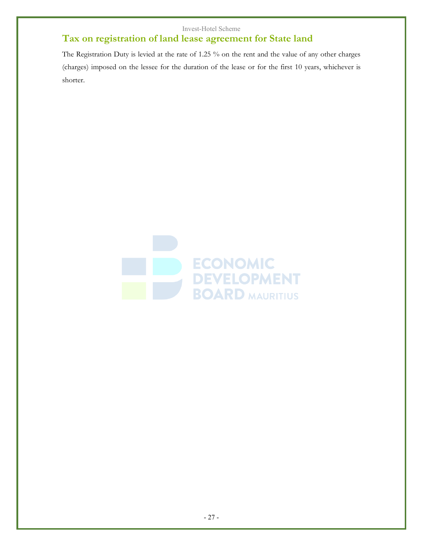# **Tax on registration of land lease agreement for State land**

The Registration Duty is levied at the rate of 1.25 % on the rent and the value of any other charges (charges) imposed on the lessee for the duration of the lease or for the first 10 years, whichever is shorter.

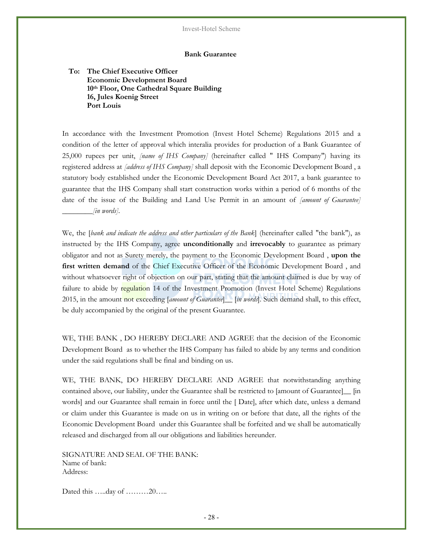#### **Bank Guarantee**

**To: The Chief Executive Officer Economic Development Board 10th Floor, One Cathedral Square Building 16, Jules Koenig Street Port Louis**

In accordance with the Investment Promotion (Invest Hotel Scheme) Regulations 2015 and a condition of the letter of approval which interalia provides for production of a Bank Guarantee of 25,000 rupees per unit, *[name of IHS Company]* (hereinafter called " IHS Company") having its registered address at *[address of IHS Company]* shall deposit with the Economic Development Board , a statutory body established under the Economic Development Board Act 2017, a bank guarantee to guarantee that the IHS Company shall start construction works within a period of 6 months of the date of the issue of the Building and Land Use Permit in an amount of *[amount of Guarantee] \_\_\_\_\_\_\_\_[in words].*

We, the [*bank and indicate the address and other particulars of the Bank*] (hereinafter called "the bank"), as instructed by the IHS Company, agree **unconditionally** and **irrevocably** to guarantee as primary obligator and not as Surety merely, the payment to the Economic Development Board , **upon the first written demand** of the Chief Executive Officer of the Economic Development Board , and without whatsoever right of objection on our part, stating that the amount claimed is due by way of failure to abide by regulation 14 of the Investment Promotion (Invest Hotel Scheme) Regulations 2015, in the amount not exceeding [*amount of Guarantee*]\_\_ [*in words*]. Such demand shall, to this effect, be duly accompanied by the original of the present Guarantee.

WE, THE BANK , DO HEREBY DECLARE AND AGREE that the decision of the Economic Development Board as to whether the IHS Company has failed to abide by any terms and condition under the said regulations shall be final and binding on us.

WE, THE BANK, DO HEREBY DECLARE AND AGREE that notwithstanding anything contained above, our liability, under the Guarantee shall be restricted to [amount of Guarantee]\_\_ [in words] and our Guarantee shall remain in force until the [ Date], after which date, unless a demand or claim under this Guarantee is made on us in writing on or before that date, all the rights of the Economic Development Board under this Guarantee shall be forfeited and we shall be automatically released and discharged from all our obligations and liabilities hereunder.

SIGNATURE AND SEAL OF THE BANK: Name of bank: Address:

Dated this ……day of ………20……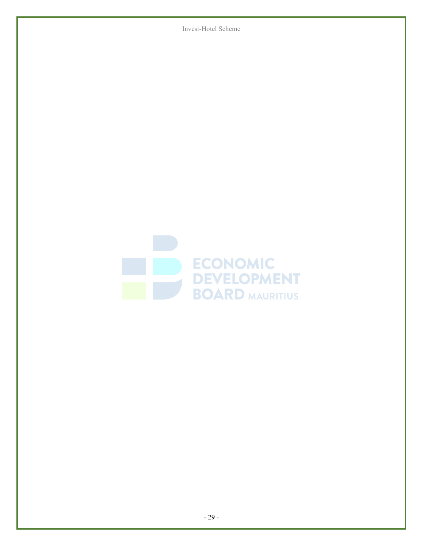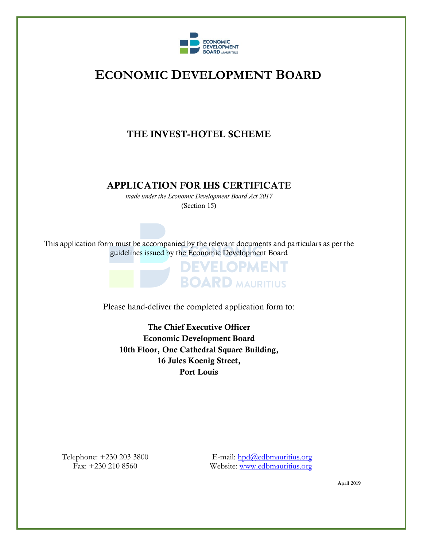

# **ECONOMIC DEVELOPMENT BOARD**

# THE INVEST-HOTEL SCHEME

#### APPLICATION FOR IHS CERTIFICATE

*made under the Economic Development Board Act 2017* (Section 15)

This application form must be accompanied by the relevant documents and particulars as per the guidelines issued by the Economic Development Board



Please hand-deliver the completed application form to:

The Chief Executive Officer Economic Development Board 10th Floor, One Cathedral Square Building, 16 Jules Koenig Street, Port Louis

Telephone: +230 203 3800 Fax: +230 210 8560

E-mail: [hpd@edbmauritius.org](mailto:hpd@edbmauritius.org) Website: [www.edbmauritius.org](http://www.edbmauritius.org/)

**April 2019**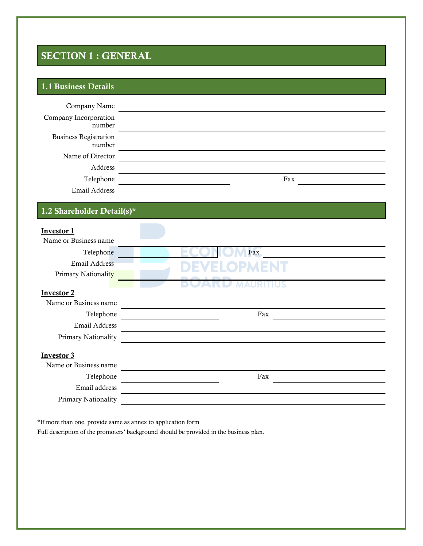# SECTION 1 : GENERAL

# 1.1 Business Details

| Company Name                           |     |
|----------------------------------------|-----|
| Company Incorporation<br>number        |     |
| <b>Business Registration</b><br>number |     |
| Name of Director                       |     |
| Address                                |     |
| Telephone                              | Fax |
| Email Address                          |     |
| 1.2 Shareholder Detail(s)*             |     |
| <b>Investor 1</b>                      |     |
| Name or Business name                  |     |
| Telephone                              | Fax |
| <b>Email Address</b>                   |     |
| Primary Nationality                    |     |
|                                        |     |
| <b>Investor 2</b>                      |     |
| Name or Business name                  |     |
| Telephone                              | Fax |
| Email Address                          |     |
| Primary Nationality                    |     |
| <b>Investor 3</b>                      |     |
| Name or Business name                  |     |
| Telephone                              | Fax |
| Email address                          |     |
| Primary Nationality                    |     |
|                                        |     |

\*If more than one, provide same as annex to application form

Full description of the promoters' background should be provided in the business plan.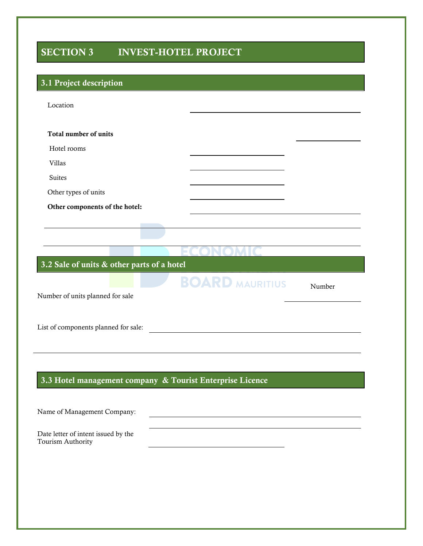# SECTION 3 INVEST-HOTEL PROJECT

# 3.1 Project description

| Location                                                  |                        |        |
|-----------------------------------------------------------|------------------------|--------|
| Total number of units                                     |                        |        |
| Hotel rooms                                               |                        |        |
| <b>Villas</b>                                             |                        |        |
| Suites                                                    |                        |        |
| Other types of units                                      |                        |        |
| Other components of the hotel:                            |                        |        |
|                                                           |                        |        |
|                                                           |                        |        |
|                                                           |                        |        |
| 3.2 Sale of units & other parts of a hotel                |                        |        |
|                                                           | <b>BOARD MAURITIUS</b> | Number |
| Number of units planned for sale                          |                        |        |
|                                                           |                        |        |
| List of components planned for sale:                      |                        |        |
|                                                           |                        |        |
|                                                           |                        |        |
|                                                           |                        |        |
| 3.3 Hotel management company & Tourist Enterprise Licence |                        |        |

Name of Management Company: Date letter of intent issued by the Tourism Authority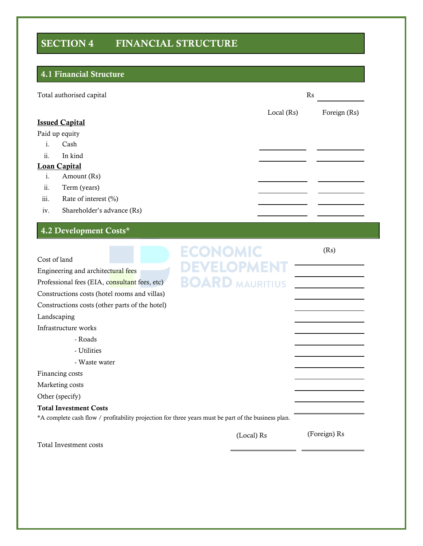# SECTION 4 FINANCIAL STRUCTURE

#### 4.1 Financial Structure

|      | Total authorised capital                                                                            |            | Rs           |
|------|-----------------------------------------------------------------------------------------------------|------------|--------------|
|      |                                                                                                     | Local (Rs) | Foreign (Rs) |
|      | <b>Issued Capital</b>                                                                               |            |              |
|      | Paid up equity                                                                                      |            |              |
| i.   | Cash                                                                                                |            |              |
| ii.  | In kind                                                                                             |            |              |
|      | <b>Loan Capital</b>                                                                                 |            |              |
| i.   | Amount (Rs)                                                                                         |            |              |
| ii.  | Term (years)                                                                                        |            |              |
| iii. | Rate of interest (%)                                                                                |            |              |
| iv.  | Shareholder's advance (Rs)                                                                          |            |              |
|      | 4.2 Development Costs*                                                                              |            |              |
|      |                                                                                                     |            |              |
|      | ECONOMIC<br>Cost of land<br>DEVELOPMENT                                                             |            | (Rs)         |
|      | Engineering and architectural fees                                                                  |            |              |
|      | <b>BOARD MAURITIUS</b><br>Professional fees (EIA, consultant fees, etc)                             |            |              |
|      | Constructions costs (hotel rooms and villas)                                                        |            |              |
|      | Constructions costs (other parts of the hotel)                                                      |            |              |
|      | Landscaping                                                                                         |            |              |
|      | Infrastructure works                                                                                |            |              |
|      | - Roads                                                                                             |            |              |
|      | - Utilities                                                                                         |            |              |
|      | - Waste water                                                                                       |            |              |
|      | Financing costs                                                                                     |            |              |
|      | Marketing costs                                                                                     |            |              |
|      | Other (specify)                                                                                     |            |              |
|      | <b>Total Investment Costs</b>                                                                       |            |              |
|      | *A complete cash flow / profitability projection for three years must be part of the business plan. |            |              |
|      | (Local) Rs                                                                                          |            | (Foreign) Rs |
|      | Total Investment costs                                                                              |            |              |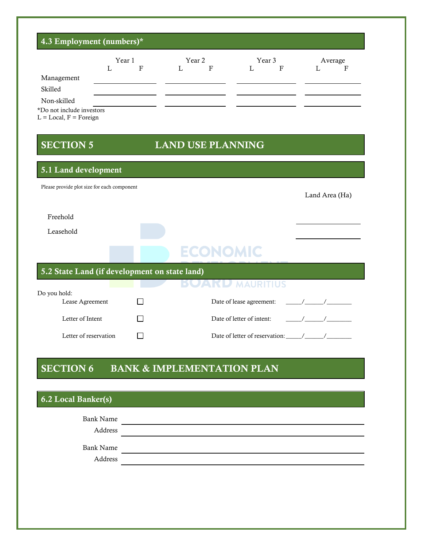# 4.3 Employment (numbers)\*

|                                                       | Year 1 |   | Year 2 |   | Year 3 |   | Average |   |
|-------------------------------------------------------|--------|---|--------|---|--------|---|---------|---|
|                                                       |        | F |        | F |        | F |         | F |
| Management                                            |        |   |        |   |        |   |         |   |
| Skilled                                               |        |   |        |   |        |   |         |   |
| Non-skilled                                           |        |   |        |   |        |   |         |   |
| *Do not include investors<br>$L = Local, F = Foreign$ |        |   |        |   |        |   |         |   |

# SECTION 5 LAND USE PLANNING

#### 5.1 Land development

| Please provide plot size for each component   |                                  | Land Area (Ha) |
|-----------------------------------------------|----------------------------------|----------------|
| Freehold                                      |                                  |                |
| Leasehold                                     |                                  |                |
|                                               | <b>ECONOMIC</b>                  |                |
| 5.2 State Land (if development on state land) |                                  |                |
|                                               |                                  |                |
| Do you hold:<br>Lease Agreement               | Date of lease agreement:         |                |
| Letter of Intent                              | Date of letter of intent:        |                |
| Letter of reservation                         | Date of letter of reservation: / |                |

# SECTION 6 BANK & IMPLEMENTATION PLAN

| <b>6.2 Local Banker(s)</b> |  |
|----------------------------|--|
| Bank Name                  |  |
| Address                    |  |
| <b>Bank Name</b>           |  |
| Address                    |  |
|                            |  |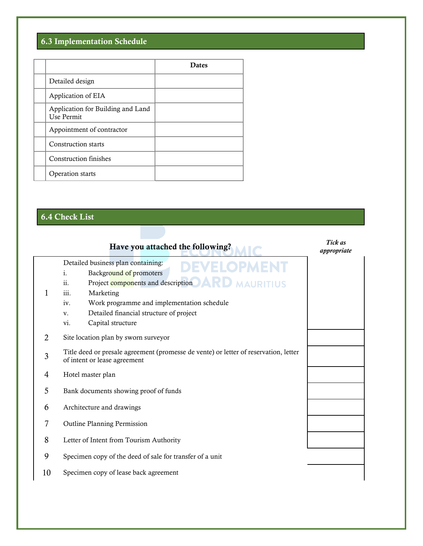# 6.3 Implementation Schedule

|                                                 | <b>Dates</b> |
|-------------------------------------------------|--------------|
| Detailed design                                 |              |
| Application of EIA                              |              |
| Application for Building and Land<br>Use Permit |              |
| Appointment of contractor                       |              |
| Construction starts                             |              |
| Construction finishes                           |              |
| Operation starts                                |              |

#### 6.4 Check List

|    | Have you attached the following?                                                                                                                                                                                                                                                                                | Tick as<br>appropriate |  |
|----|-----------------------------------------------------------------------------------------------------------------------------------------------------------------------------------------------------------------------------------------------------------------------------------------------------------------|------------------------|--|
|    | Detailed business plan containing:<br><b>VELOPMENT</b><br>i.<br>Background of promoters<br>Project components and description<br><b>MAURITIUS</b><br>ii.<br>iii.<br>Marketing<br>Work programme and implementation schedule<br>iv.<br>Detailed financial structure of project<br>V.<br>Capital structure<br>vi. |                        |  |
| 2  | Site location plan by sworn surveyor                                                                                                                                                                                                                                                                            |                        |  |
| 3  | Title deed or presale agreement (promesse de vente) or letter of reservation, letter<br>of intent or lease agreement                                                                                                                                                                                            |                        |  |
| 4  | Hotel master plan                                                                                                                                                                                                                                                                                               |                        |  |
| 5  | Bank documents showing proof of funds                                                                                                                                                                                                                                                                           |                        |  |
| 6  | Architecture and drawings                                                                                                                                                                                                                                                                                       |                        |  |
| 7  | <b>Outline Planning Permission</b>                                                                                                                                                                                                                                                                              |                        |  |
| 8  | Letter of Intent from Tourism Authority                                                                                                                                                                                                                                                                         |                        |  |
| 9  | Specimen copy of the deed of sale for transfer of a unit                                                                                                                                                                                                                                                        |                        |  |
| 10 | Specimen copy of lease back agreement                                                                                                                                                                                                                                                                           |                        |  |